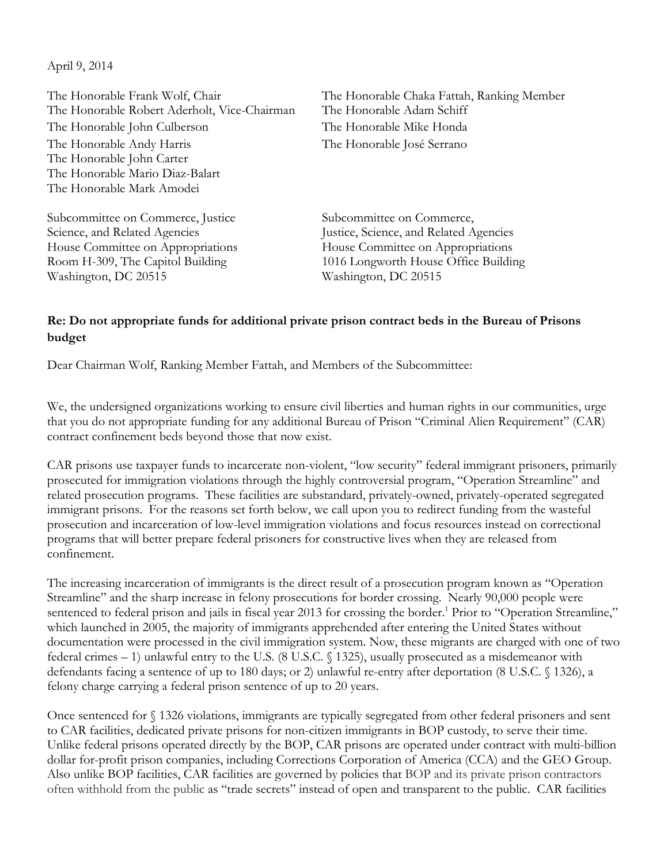April 9, 2014

The Honorable Frank Wolf, Chair The Honorable Chaka Fattah, Ranking Member The Honorable Robert Aderholt, Vice-Chairman The Honorable Adam Schiff The Honorable John Culberson The Honorable Mike Honda The Honorable Andy Harris The Honorable José Serrano The Honorable John Carter The Honorable Mario Diaz-Balart The Honorable Mark Amodei

Subcommittee on Commerce, Justice Subcommittee on Commerce, House Committee on Appropriations Washington, DC 20515 Washington, DC 20515

Science, and Related Agencies<br>
House Committee on Appropriations<br>
House Committee on Appropriations Room H-309, The Capitol Building 1016 Longworth House Office Building

## **Re: Do not appropriate funds for additional private prison contract beds in the Bureau of Prisons budget**

Dear Chairman Wolf, Ranking Member Fattah, and Members of the Subcommittee:

We, the undersigned organizations working to ensure civil liberties and human rights in our communities, urge that you do not appropriate funding for any additional Bureau of Prison "Criminal Alien Requirement" (CAR) contract confinement beds beyond those that now exist.

CAR prisons use taxpayer funds to incarcerate non-violent, "low security" federal immigrant prisoners, primarily prosecuted for immigration violations through the highly controversial program, "Operation Streamline" and related prosecution programs. These facilities are substandard, privately-owned, privately-operated segregated immigrant prisons. For the reasons set forth below, we call upon you to redirect funding from the wasteful prosecution and incarceration of low-level immigration violations and focus resources instead on correctional programs that will better prepare federal prisoners for constructive lives when they are released from confinement.

The increasing incarceration of immigrants is the direct result of a prosecution program known as "Operation Streamline" and the sharp increase in felony prosecutions for border crossing. Nearly 90,000 people were sentenced to federal prison and jails in fiscal year 2013 for crossing the border.<sup>1</sup> Prior to "Operation Streamline," which launched in 2005, the majority of immigrants apprehended after entering the United States without documentation were processed in the civil immigration system. Now, these migrants are charged with one of two federal crimes – 1) unlawful entry to the U.S. (8 U.S.C. § 1325), usually prosecuted as a misdemeanor with defendants facing a sentence of up to 180 days; or 2) unlawful re-entry after deportation (8 U.S.C. § 1326), a felony charge carrying a federal prison sentence of up to 20 years.

Once sentenced for § 1326 violations, immigrants are typically segregated from other federal prisoners and sent to CAR facilities, dedicated private prisons for non-citizen immigrants in BOP custody, to serve their time. Unlike federal prisons operated directly by the BOP, CAR prisons are operated under contract with multi-billion dollar for-profit prison companies, including Corrections Corporation of America (CCA) and the GEO Group. Also unlike BOP facilities, CAR facilities are governed by policies that BOP and its private prison contractors often withhold from the public as "trade secrets" instead of open and transparent to the public. CAR facilities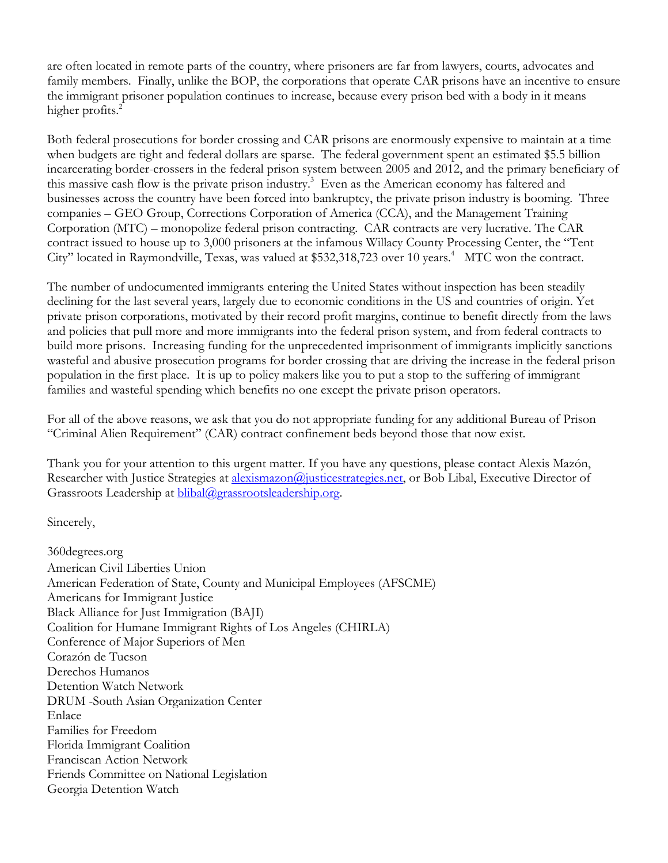are often located in remote parts of the country, where prisoners are far from lawyers, courts, advocates and family members. Finally, unlike the BOP, the corporations that operate CAR prisons have an incentive to ensure the immigrant prisoner population continues to increase, because every prison bed with a body in it means higher profits. $2$ 

Both federal prosecutions for border crossing and CAR prisons are enormously expensive to maintain at a time when budgets are tight and federal dollars are sparse. The federal government spent an estimated \$5.5 billion incarcerating border-crossers in the federal prison system between 2005 and 2012, and the primary beneficiary of this massive cash flow is the private prison industry.<sup>3</sup> Even as the American economy has faltered and businesses across the country have been forced into bankruptcy, the private prison industry is booming. Three companies – GEO Group, Corrections Corporation of America (CCA), and the Management Training Corporation (MTC) – monopolize federal prison contracting. CAR contracts are very lucrative. The CAR contract issued to house up to 3,000 prisoners at the infamous Willacy County Processing Center, the "Tent City" located in Raymondville, Texas, was valued at \$532,318,723 over 10 years.<sup>4</sup> MTC won the contract.

The number of undocumented immigrants entering the United States without inspection has been steadily declining for the last several years, largely due to economic conditions in the US and countries of origin. Yet private prison corporations, motivated by their record profit margins, continue to benefit directly from the laws and policies that pull more and more immigrants into the federal prison system, and from federal contracts to build more prisons. Increasing funding for the unprecedented imprisonment of immigrants implicitly sanctions wasteful and abusive prosecution programs for border crossing that are driving the increase in the federal prison population in the first place. It is up to policy makers like you to put a stop to the suffering of immigrant families and wasteful spending which benefits no one except the private prison operators.

For all of the above reasons, we ask that you do not appropriate funding for any additional Bureau of Prison "Criminal Alien Requirement" (CAR) contract confinement beds beyond those that now exist.

Thank you for your attention to this urgent matter. If you have any questions, please contact Alexis Mazón, Researcher with Justice Strategies at alexismazon@justicestrategies.net, or Bob Libal, Executive Director of Grassroots Leadership at blibal@grassrootsleadership.org.

Sincerely,

360degrees.org American Civil Liberties Union American Federation of State, County and Municipal Employees (AFSCME) Americans for Immigrant Justice Black Alliance for Just Immigration (BAJI) Coalition for Humane Immigrant Rights of Los Angeles (CHIRLA) Conference of Major Superiors of Men Corazón de Tucson Derechos Humanos Detention Watch Network DRUM -South Asian Organization Center Enlace Families for Freedom Florida Immigrant Coalition Franciscan Action Network Friends Committee on National Legislation Georgia Detention Watch